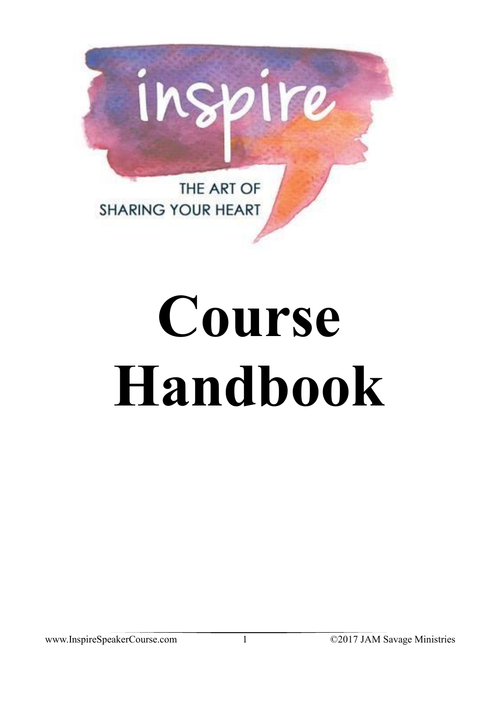

## **Course Handbook**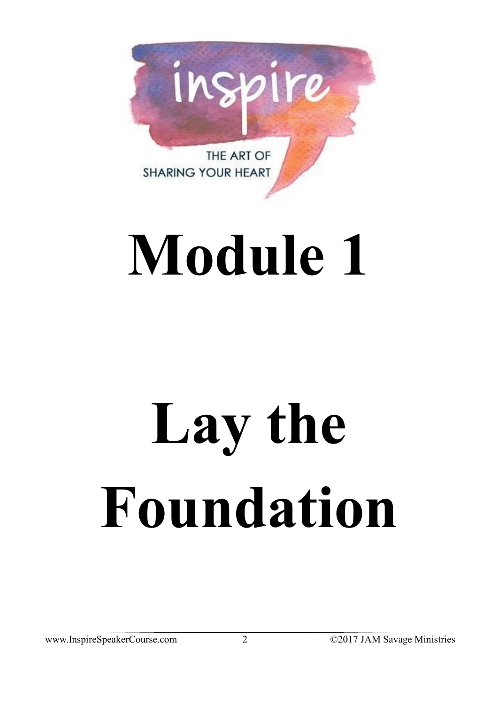

## **Module 1**

# Lay the **Foundation**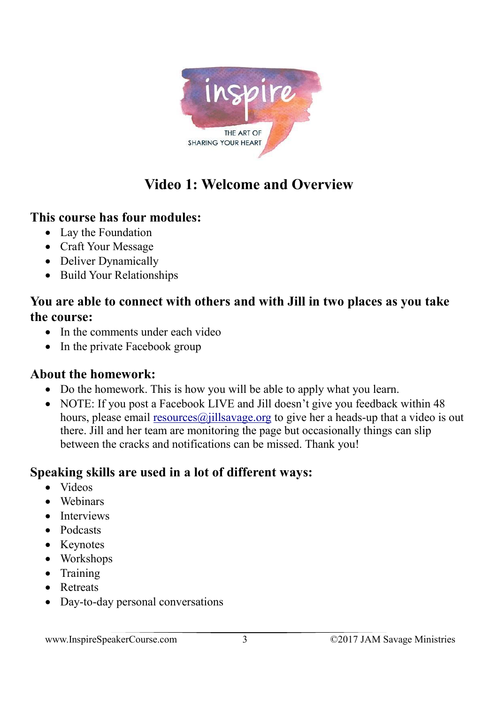

## **Video 1: Welcome and Overview**

#### **This course has four modules:**

- Lay the Foundation
- Craft Your Message
- Deliver Dynamically
- Build Your Relationships

#### **You are able to connect with others and with Jill in two places as you take the course:**

- In the comments under each video
- In the private Facebook group

#### **About the homework:**

- Do the homework. This is how you will be able to apply what you learn.
- NOTE: If you post a Facebook LIVE and Jill doesn't give you feedback within 48 hours, please email  $resoures(a)$  jills avage org to give her a heads-up that a video is out there. Jill and her team are monitoring the page but occasionally things can slip between the cracks and notifications can be missed. Thank you!

#### **Speaking skills are used in a lot of different ways:**

- Videos
- Webinars
- Interviews
- Podcasts
- Keynotes
- Workshops
- Training
- Retreats
- Day-to-day personal conversations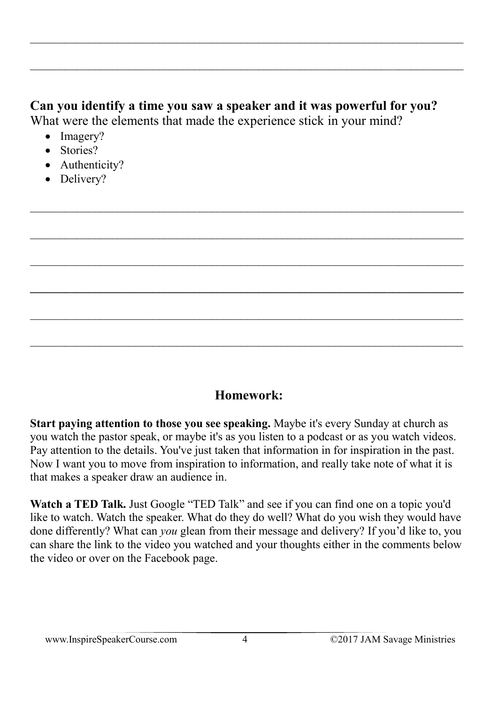#### **Can you identify a time you saw a speaker and it was powerful for you?** What were the elements that made the experience stick in your mind?

 $\_$  , and the contribution of the contribution of the contribution of the contribution of  $\mathcal{L}_\mathcal{A}$ 

 $\_$  , and the set of the set of the set of the set of the set of the set of the set of the set of the set of the set of the set of the set of the set of the set of the set of the set of the set of the set of the set of th

- Imagery?
- Stories?
- Authenticity?
- Delivery?

#### **Homework:**

 $\_$  , and the set of the set of the set of the set of the set of the set of the set of the set of the set of the set of the set of the set of the set of the set of the set of the set of the set of the set of the set of th

**Start paying attention to those you see speaking.** Maybe it's every Sunday at church as you watch the pastor speak, or maybe it's as you listen to a podcast or as you watch videos. Pay attention to the details. You've just taken that information in for inspiration in the past. Now I want you to move from inspiration to information, and really take note of what it is that makes a speaker draw an audience in.

**Watch a TED Talk.** Just Google "TED Talk" and see if you can find one on a topic you'd like to watch. Watch the speaker. What do they do well? What do you wish they would have done differently? What can *you* glean from their message and delivery? If you'd like to, you can share the link to the video you watched and your thoughts either in the comments below the video or over on the Facebook page.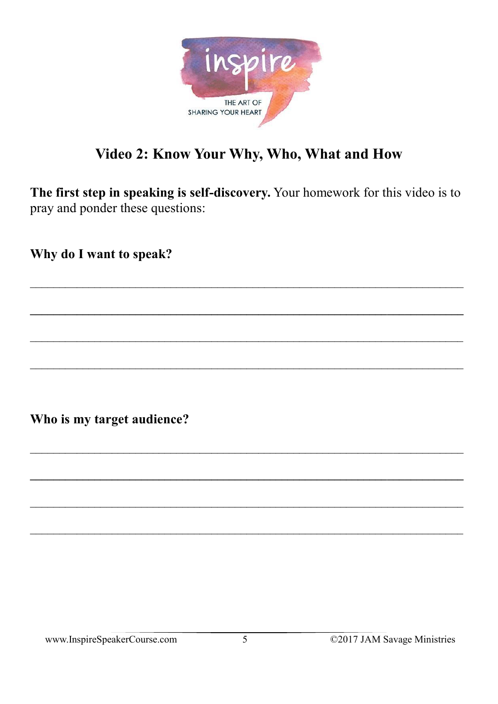

### Video 2: Know Your Why, Who, What and How

The first step in speaking is self-discovery. Your homework for this video is to pray and ponder these questions:

Why do I want to speak?

Who is my target audience?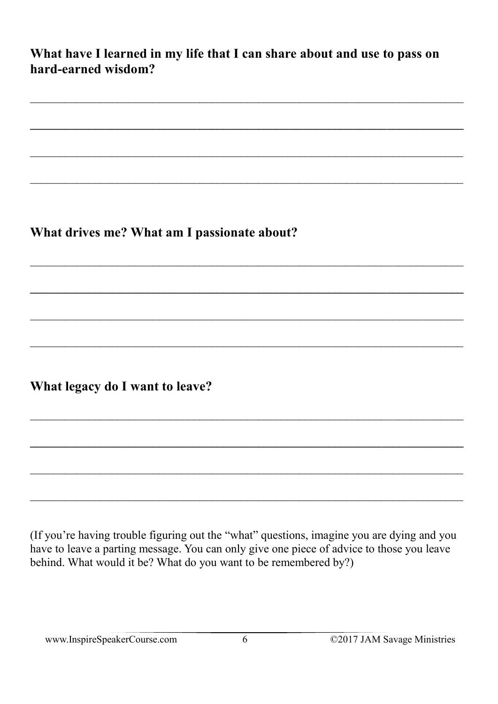What have I learned in my life that I can share about and use to pass on hard-earned wisdom?

What drives me? What am I passionate about?

What legacy do I want to leave?

(If you're having trouble figuring out the "what" questions, imagine you are dying and you have to leave a parting message. You can only give one piece of advice to those you leave behind. What would it be? What do you want to be remembered by?)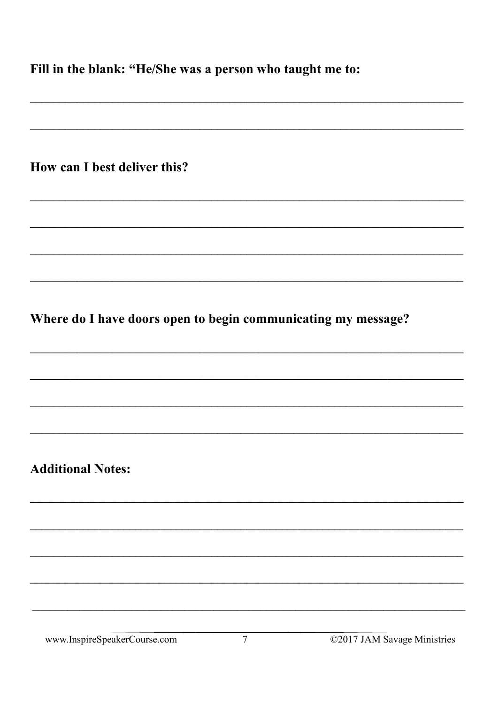Fill in the blank: "He/She was a person who taught me to:

| How can I best deliver this? |  |  |  |  |  |
|------------------------------|--|--|--|--|--|
|------------------------------|--|--|--|--|--|

Where do I have doors open to begin communicating my message?

**Additional Notes:** 

www.InspireSpeakerCourse.com

©2017 JAM Savage Ministries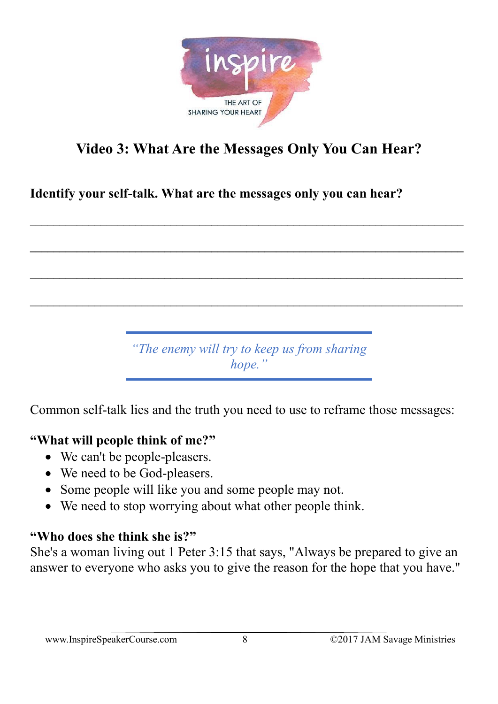

## **Video 3: What Are the Messages Only You Can Hear?**

 $\_$  , and the contribution of the contribution of  $\mathcal{L}_\mathcal{A}$  , and the contribution of  $\mathcal{L}_\mathcal{A}$ 

**\_\_\_\_\_\_\_\_\_\_\_\_\_\_\_\_\_\_\_\_\_\_\_\_\_\_\_\_\_\_\_\_\_\_\_\_\_\_\_\_\_\_\_\_\_\_\_\_\_\_\_\_\_\_\_\_\_\_\_\_\_\_\_\_\_\_\_\_\_\_\_\_\_\_**

**Identify your self-talk. What are the messages only you can hear?**

*"The enemy will try to keep us from sharing hope."*

Common self-talk lies and the truth you need to use to reframe those messages:

#### **"What will people think of me?"**

- We can't be people-pleasers.
- We need to be God-pleasers.
- Some people will like you and some people may not.
- We need to stop worrying about what other people think.

#### **"Who does she think she is?"**

She's a woman living out 1 Peter 3:15 that says, "Always be prepared to give an answer to everyone who asks you to give the reason for the hope that you have."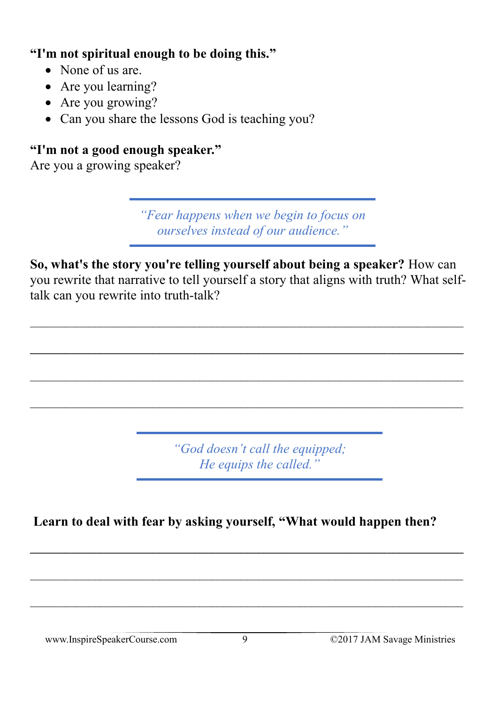#### **"I'm not spiritual enough to be doing this."**

- None of us are.
- Are you learning?
- Are you growing?
- Can you share the lessons God is teaching you?

### **"I'm not a good enough speaker."**

Are you a growing speaker?

*"Fear happens when we begin to focus on ourselves instead of our audience."*

**So, what's the story you're telling yourself about being a speaker?** How can you rewrite that narrative to tell yourself a story that aligns with truth? What selftalk can you rewrite into truth-talk?

 $\_$  , and the contribution of the contribution of  $\mathcal{L}_\mathcal{A}$  , and the contribution of  $\mathcal{L}_\mathcal{A}$ 

**\_\_\_\_\_\_\_\_\_\_\_\_\_\_\_\_\_\_\_\_\_\_\_\_\_\_\_\_\_\_\_\_\_\_\_\_\_\_\_\_\_\_\_\_\_\_\_\_\_\_\_\_\_\_\_\_\_\_\_\_\_\_\_\_\_\_\_\_\_\_\_\_\_\_**

 $\_$  , and the contribution of the contribution of the contribution of the contribution of  $\mathcal{L}_\text{max}$ 

 $\_$  , and the contribution of the contribution of  $\mathcal{L}_\mathcal{A}$  , and the contribution of  $\mathcal{L}_\mathcal{A}$ 

*"God doesn't call the equipped; He equips the called."*

**Learn to deal with fear by asking yourself, "What would happen then?**

**\_\_\_\_\_\_\_\_\_\_\_\_\_\_\_\_\_\_\_\_\_\_\_\_\_\_\_\_\_\_\_\_\_\_\_\_\_\_\_\_\_\_\_\_\_\_\_\_\_\_\_\_\_\_\_\_\_\_\_\_\_\_\_\_\_\_\_\_\_\_\_\_\_\_**

 $\_$  , and the contribution of the contribution of the contribution of the contribution of  $\mathcal{L}_\mathcal{A}$ 

 $\_$  , and the contribution of the contribution of the contribution of the contribution of  $\mathcal{L}_\mathcal{A}$ 

www.InspireSpeakerCourse.com 9 ©2017 JAM Savage Ministries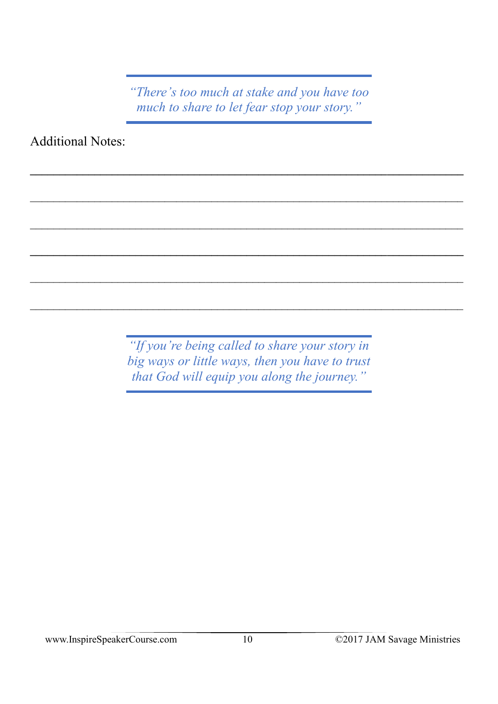*"There's too much at stake and you have too much to share to let fear stop your story."*

Additional Notes:

*"If you're being called to share your story in big ways or little ways, then you have to trust that God will equip you along the journey."*

 $\_$  , and the contribution of the contribution of the contribution of the contribution of  $\mathcal{L}_\mathcal{A}$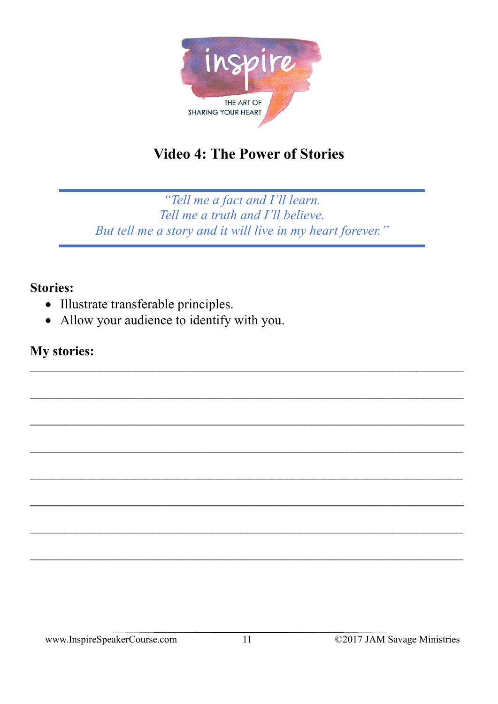

## **Video 4: The Power of Stories**

"Tell me a fact and I'll learn. Tell me a truth and I'll believe. But tell me a story and it will live in my heart forever."

#### **Stories:**

- Illustrate transferable principles.
- Allow your audience to identify with you.

#### **My stories:**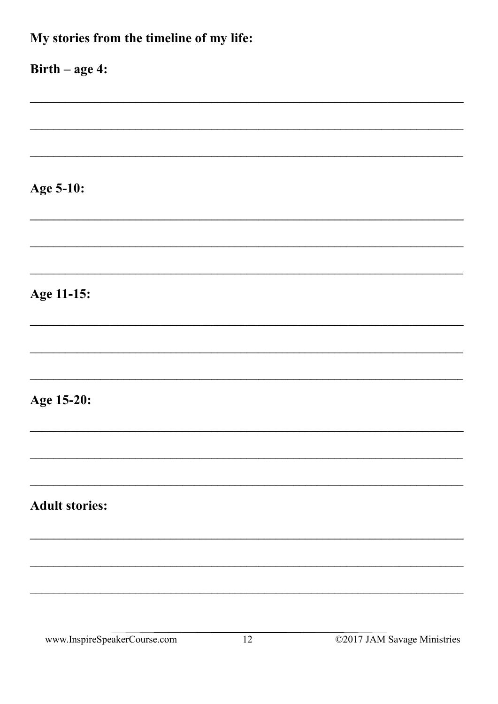| My stories from the timeline of my life: |
|------------------------------------------|
| $Birth - age 4:$                         |
|                                          |
|                                          |
| Age 5-10:                                |
|                                          |
|                                          |
| Age 11-15:                               |
|                                          |
|                                          |
| Age 15-20:                               |
|                                          |
|                                          |
| <b>Adult stories:</b>                    |
|                                          |
|                                          |
|                                          |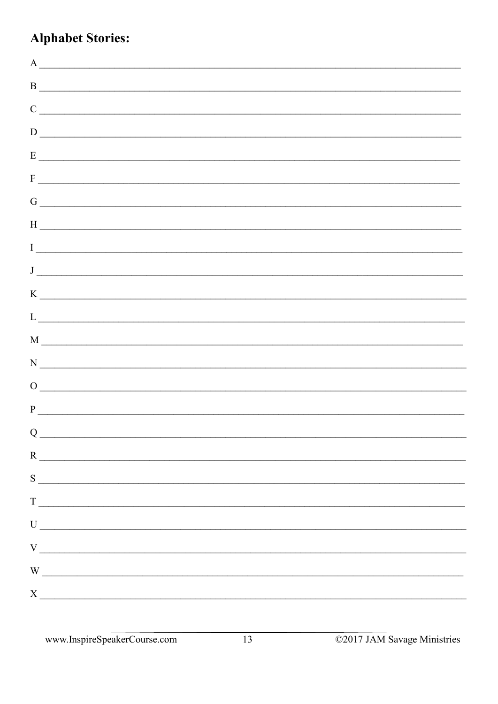## **Alphabet Stories:**

| $A \fbox{---}$                                                                                                                                                                                                                                                                                                                                                     |  |
|--------------------------------------------------------------------------------------------------------------------------------------------------------------------------------------------------------------------------------------------------------------------------------------------------------------------------------------------------------------------|--|
| $\mathbf{B}$                                                                                                                                                                                                                                                                                                                                                       |  |
| $\overline{C}$                                                                                                                                                                                                                                                                                                                                                     |  |
| $\overline{D}$                                                                                                                                                                                                                                                                                                                                                     |  |
|                                                                                                                                                                                                                                                                                                                                                                    |  |
| $F_{\overline{a}}$                                                                                                                                                                                                                                                                                                                                                 |  |
| $\overline{G}$                                                                                                                                                                                                                                                                                                                                                     |  |
|                                                                                                                                                                                                                                                                                                                                                                    |  |
|                                                                                                                                                                                                                                                                                                                                                                    |  |
|                                                                                                                                                                                                                                                                                                                                                                    |  |
|                                                                                                                                                                                                                                                                                                                                                                    |  |
| $\begin{picture}(150,10) \put(0,0){\vector(1,0){100}} \put(15,0){\vector(1,0){100}} \put(15,0){\vector(1,0){100}} \put(15,0){\vector(1,0){100}} \put(15,0){\vector(1,0){100}} \put(15,0){\vector(1,0){100}} \put(15,0){\vector(1,0){100}} \put(15,0){\vector(1,0){100}} \put(15,0){\vector(1,0){100}} \put(15,0){\vector(1,0){100}} \put(15,0){\vector(1,0){100}}$ |  |
| $M \fbox{---}$                                                                                                                                                                                                                                                                                                                                                     |  |
|                                                                                                                                                                                                                                                                                                                                                                    |  |
| $\begin{picture}(150,10) \put(0,0){\line(1,0){10}} \put(15,0){\line(1,0){10}} \put(15,0){\line(1,0){10}} \put(15,0){\line(1,0){10}} \put(15,0){\line(1,0){10}} \put(15,0){\line(1,0){10}} \put(15,0){\line(1,0){10}} \put(15,0){\line(1,0){10}} \put(15,0){\line(1,0){10}} \put(15,0){\line(1,0){10}} \put(15,0){\line(1,0){10}} \put(15,0){\line($                |  |
|                                                                                                                                                                                                                                                                                                                                                                    |  |
| $Q_{\underline{\hspace{1cm}}\underline{\hspace{1cm}}}$                                                                                                                                                                                                                                                                                                             |  |
| $R$ $\overline{\phantom{a}}$                                                                                                                                                                                                                                                                                                                                       |  |
| S                                                                                                                                                                                                                                                                                                                                                                  |  |
|                                                                                                                                                                                                                                                                                                                                                                    |  |
|                                                                                                                                                                                                                                                                                                                                                                    |  |
|                                                                                                                                                                                                                                                                                                                                                                    |  |
| $W$ $\overline{\phantom{a}}$                                                                                                                                                                                                                                                                                                                                       |  |
| $X$ $\overline{\phantom{a}}$                                                                                                                                                                                                                                                                                                                                       |  |
|                                                                                                                                                                                                                                                                                                                                                                    |  |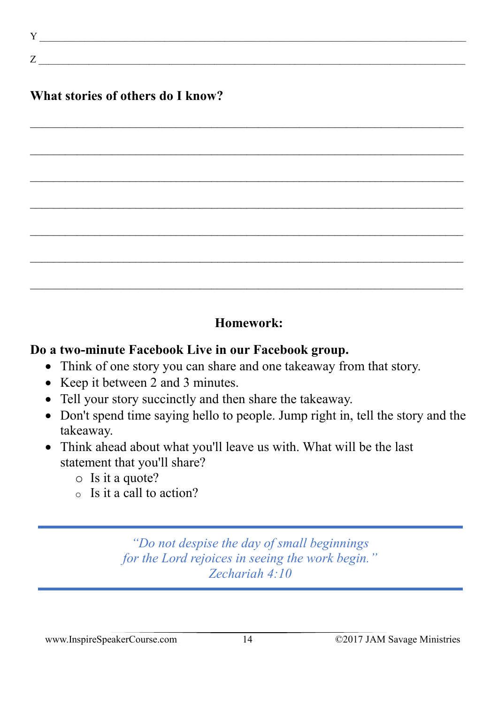$Y$   $\vdots$ 

#### **What stories of others do I know?**

 $Z \sim$ 

#### **Homework:**

 $\_$  , and the set of the set of the set of the set of the set of the set of the set of the set of the set of the set of the set of the set of the set of the set of the set of the set of the set of the set of the set of th

 $\_$  , and the contribution of the contribution of the contribution of the contribution of  $\mathcal{L}_\mathcal{A}$ 

 $\_$  , and the set of the set of the set of the set of the set of the set of the set of the set of the set of the set of the set of the set of the set of the set of the set of the set of the set of the set of the set of th

 $\_$  , and the contribution of the contribution of the contribution of the contribution of  $\mathcal{L}_\mathcal{A}$ 

 $\_$  , and the contribution of the contribution of the contribution of the contribution of  $\mathcal{L}_\mathcal{A}$ 

 $\mathcal{L}_\text{max} = \mathcal{L}_\text{max} = \mathcal{L}_\text{max} = \mathcal{L}_\text{max} = \mathcal{L}_\text{max} = \mathcal{L}_\text{max} = \mathcal{L}_\text{max} = \mathcal{L}_\text{max} = \mathcal{L}_\text{max} = \mathcal{L}_\text{max} = \mathcal{L}_\text{max} = \mathcal{L}_\text{max} = \mathcal{L}_\text{max} = \mathcal{L}_\text{max} = \mathcal{L}_\text{max} = \mathcal{L}_\text{max} = \mathcal{L}_\text{max} = \mathcal{L}_\text{max} = \mathcal{$ 

 $\_$  , and the contribution of the contribution of  $\mathcal{L}_\mathcal{A}$  , and the contribution of  $\mathcal{L}_\mathcal{A}$ 

#### **Do a two-minute Facebook Live in our Facebook group.**

- Think of one story you can share and one takeaway from that story.
- Keep it between 2 and 3 minutes.
- Tell your story succinctly and then share the takeaway.
- Don't spend time saying hello to people. Jump right in, tell the story and the takeaway.
- Think ahead about what you'll leave us with. What will be the last statement that you'll share?
	- o Is it a quote?
	- $\circ$  Is it a call to action?

*"Do not despise the day of small beginnings for the Lord rejoices in seeing the work begin." Zechariah 4:10*

www.InspireSpeakerCourse.com 14 ©2017 JAM Savage Ministries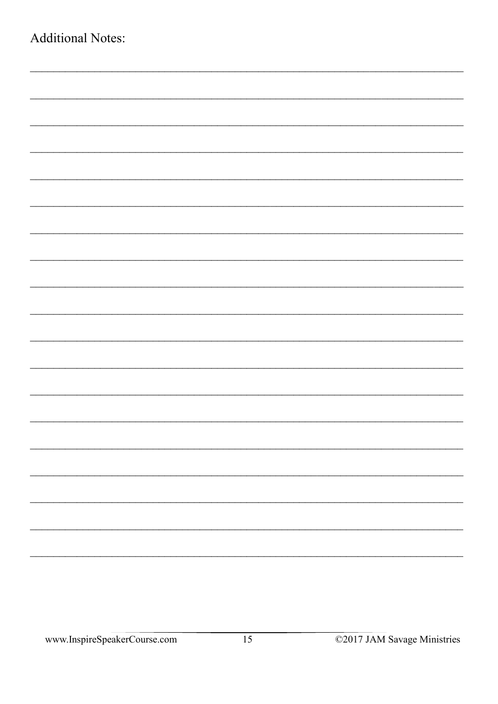| <b>Additional Notes:</b> |  |  |
|--------------------------|--|--|
|                          |  |  |
|                          |  |  |
|                          |  |  |
|                          |  |  |
|                          |  |  |
|                          |  |  |
|                          |  |  |
|                          |  |  |
|                          |  |  |
|                          |  |  |
|                          |  |  |
|                          |  |  |
|                          |  |  |
|                          |  |  |
|                          |  |  |
|                          |  |  |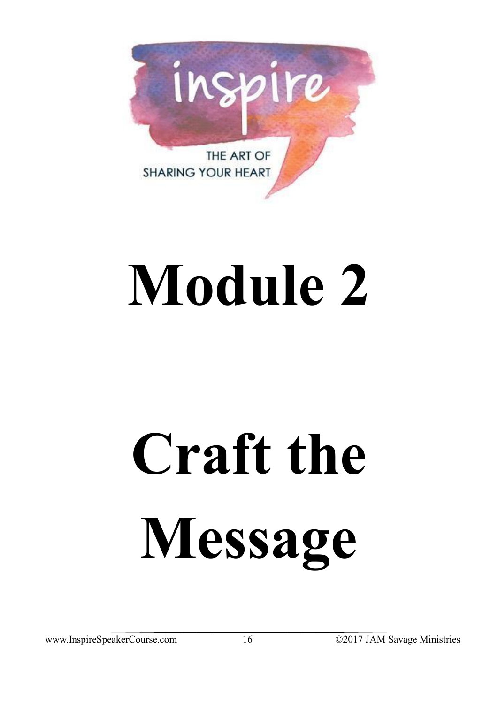

## **Module 2**

# **Craft the Message**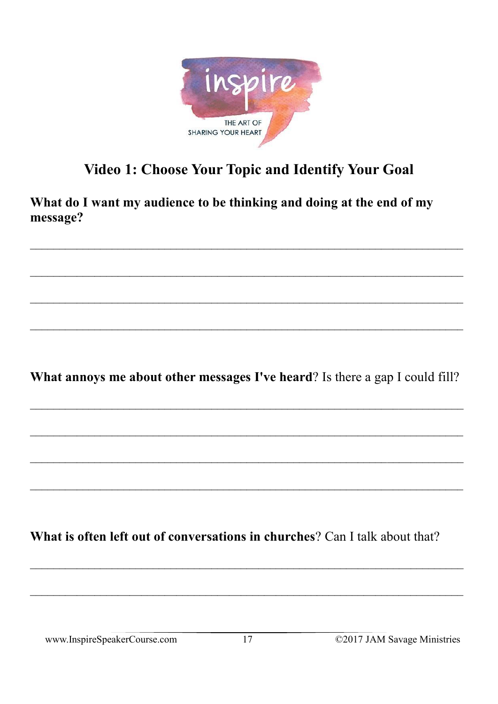

## **Video 1: Choose Your Topic and Identify Your Goal**

What do I want my audience to be thinking and doing at the end of my message?

What annoys me about other messages I've heard? Is there a gap I could fill?

What is often left out of conversations in churches? Can I talk about that?

www.InspireSpeakerCourse.com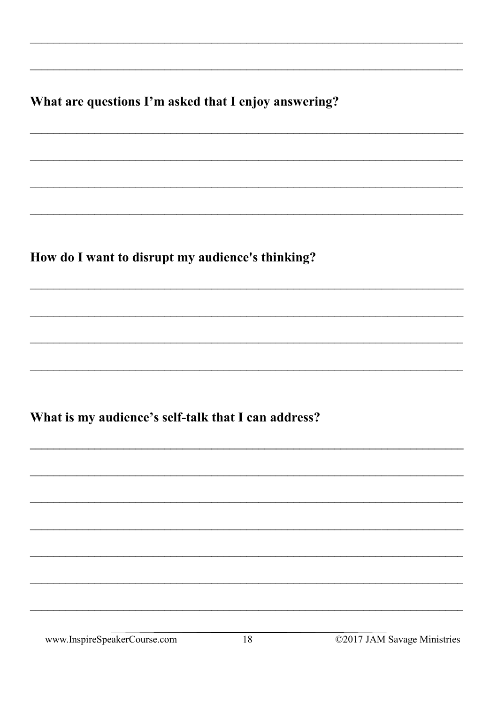What are questions I'm asked that I enjoy answering?

How do I want to disrupt my audience's thinking?

What is my audience's self-talk that I can address?

www.InspireSpeakerCourse.com

©2017 JAM Savage Ministries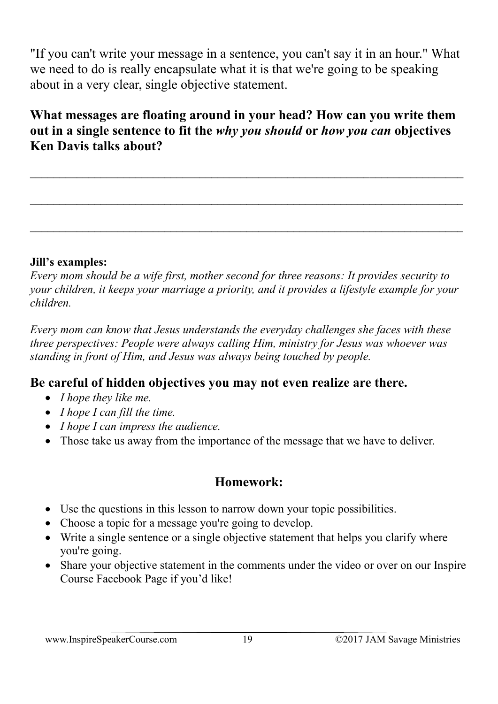"If you can't write your message in a sentence, you can't say it in an hour." What we need to do is really encapsulate what it is that we're going to be speaking about in a very clear, single objective statement.

**What messages are floating around in your head? How can you write them out in a single sentence to fit the** *why you should* **or** *how you can* **objectives Ken Davis talks about?** 

 $\_$  , and the set of the set of the set of the set of the set of the set of the set of the set of the set of the set of the set of the set of the set of the set of the set of the set of the set of the set of the set of th

 $\_$  , and the contribution of the contribution of  $\mathcal{L}_\mathcal{A}$  , and the contribution of  $\mathcal{L}_\mathcal{A}$ 

 $\_$  , and the contribution of the contribution of  $\mathcal{L}_\mathcal{A}$  , and the contribution of  $\mathcal{L}_\mathcal{A}$ 

#### **Jill's examples:**

*Every mom should be a wife first, mother second for three reasons: It provides security to your children, it keeps your marriage a priority, and it provides a lifestyle example for your children.*

*Every mom can know that Jesus understands the everyday challenges she faces with these three perspectives: People were always calling Him, ministry for Jesus was whoever was standing in front of Him, and Jesus was always being touched by people.*

#### **Be careful of hidden objectives you may not even realize are there.**

- *I hope they like me.*
- *I hope I can fill the time.*
- *I hope I can impress the audience.*
- Those take us away from the importance of the message that we have to deliver.

#### **Homework:**

- Use the questions in this lesson to narrow down your topic possibilities.
- Choose a topic for a message you're going to develop.
- Write a single sentence or a single objective statement that helps you clarify where you're going.
- Share your objective statement in the comments under the video or over on our Inspire Course Facebook Page if you'd like!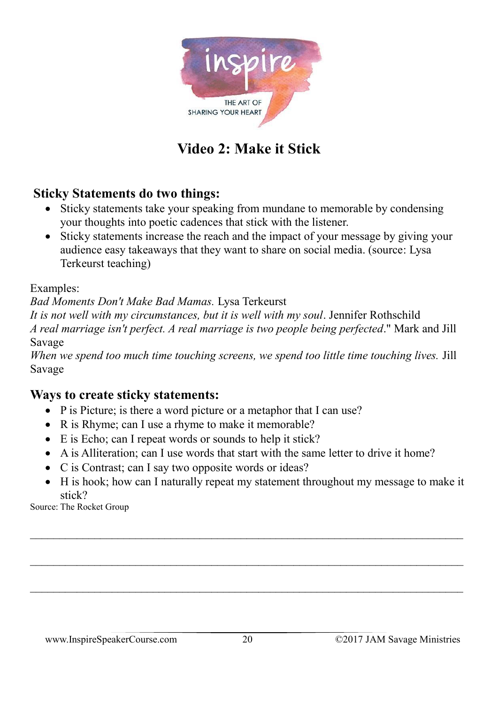

### **Video 2: Make it Stick**

#### **Sticky Statements do two things:**

- Sticky statements take your speaking from mundane to memorable by condensing your thoughts into poetic cadences that stick with the listener.
- Sticky statements increase the reach and the impact of your message by giving your audience easy takeaways that they want to share on social media. (source: Lysa Terkeurst teaching)

Examples:

*Bad Moments Don't Make Bad Mamas.* Lysa Terkeurst

*It is not well with my circumstances, but it is well with my soul*. Jennifer Rothschild *A real marriage isn't perfect. A real marriage is two people being perfected*." Mark and Jill Savage

*When we spend too much time touching screens, we spend too little time touching lives.* Jill Savage

#### **Ways to create sticky statements:**

- P is Picture; is there a word picture or a metaphor that I can use?
- R is Rhyme; can I use a rhyme to make it memorable?
- E is Echo; can I repeat words or sounds to help it stick?
- A is Alliteration; can I use words that start with the same letter to drive it home?
- C is Contrast; can I say two opposite words or ideas?
- H is hook; how can I naturally repeat my statement throughout my message to make it stick?

 $\_$  , and the contribution of the contribution of the contribution of the contribution of  $\mathcal{L}_\mathcal{A}$ 

 $\_$  , and the contribution of the contribution of the contribution of the contribution of  $\mathcal{L}_\text{max}$ 

Source: The Rocket Group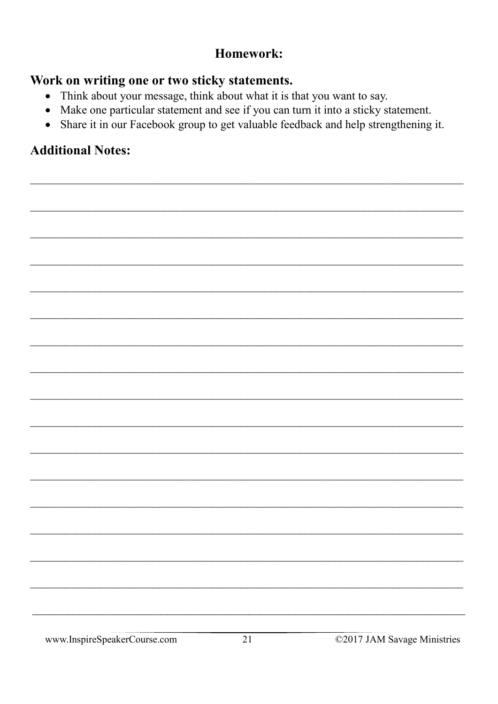#### Homework:

#### Work on writing one or two sticky statements.

- Think about your message, think about what it is that you want to say.
- Make one particular statement and see if you can turn it into a sticky statement.
- Share it in our Facebook group to get valuable feedback and help strengthening it.

#### **Additional Notes:**

www.InspireSpeakerCourse.com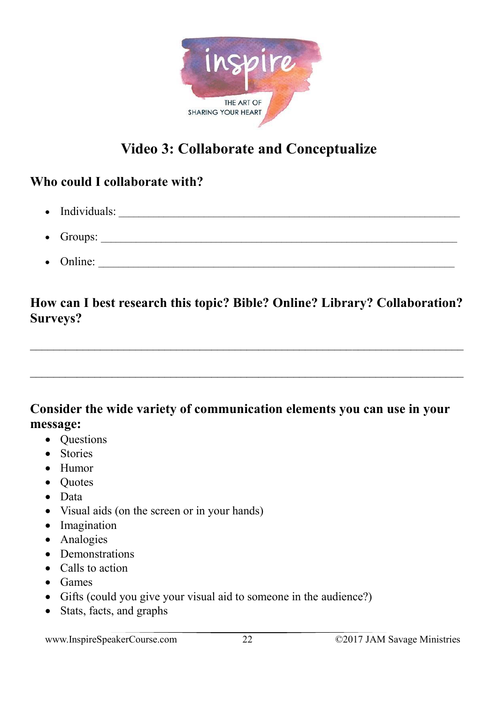

## **Video 3: Collaborate and Conceptualize**

#### **Who could I collaborate with?**

- Individuals: \_\_\_\_\_\_\_\_\_\_\_\_\_\_\_\_\_\_\_\_\_\_\_\_\_\_\_\_\_\_\_\_\_\_\_\_\_\_\_\_\_\_\_\_\_\_\_\_\_\_\_\_\_\_\_\_\_\_\_\_\_\_\_\_\_\_\_\_
- Groups:  $\Box$
- Online:

#### **How can I best research this topic? Bible? Online? Library? Collaboration? Surveys?**

 $\_$  , and the set of the set of the set of the set of the set of the set of the set of the set of the set of the set of the set of the set of the set of the set of the set of the set of the set of the set of the set of th

 $\_$  , and the set of the set of the set of the set of the set of the set of the set of the set of the set of the set of the set of the set of the set of the set of the set of the set of the set of the set of the set of th

#### **Consider the wide variety of communication elements you can use in your message:**

- Questions
- Stories
- Humor
- Quotes
- Data
- Visual aids (on the screen or in your hands)
- Imagination
- Analogies
- Demonstrations
- Calls to action
- Games
- Gifts (could you give your visual aid to someone in the audience?)
- Stats, facts, and graphs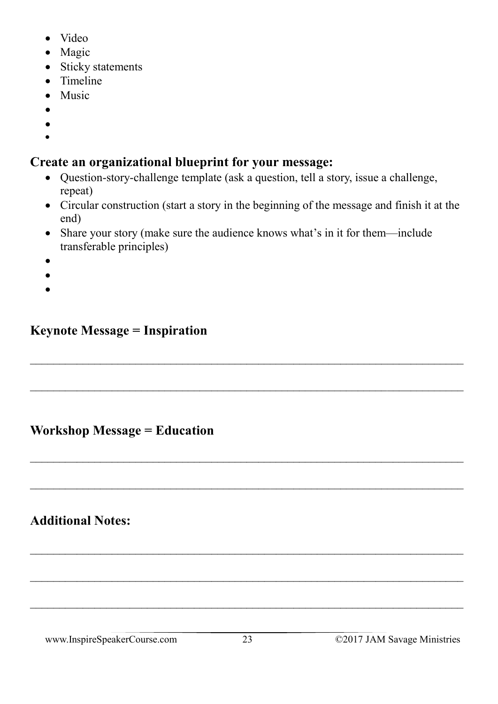- Video
- Magic
- Sticky statements
- Timeline
- Music
- •
- •
- •

#### **Create an organizational blueprint for your message:**

- Question-story-challenge template (ask a question, tell a story, issue a challenge, repeat)
- Circular construction (start a story in the beginning of the message and finish it at the end)
- Share your story (make sure the audience knows what's in it for them—include transferable principles)

 $\_$  , and the contribution of the contribution of the contribution of the contribution of  $\mathcal{L}_\text{max}$ 

 $\_$  , and the contribution of the contribution of  $\mathcal{L}_\mathcal{A}$  , and the contribution of  $\mathcal{L}_\mathcal{A}$ 

 $\_$  , and the set of the set of the set of the set of the set of the set of the set of the set of the set of the set of the set of the set of the set of the set of the set of the set of the set of the set of the set of th

 $\_$  , and the contribution of the contribution of the contribution of the contribution of  $\mathcal{L}_\text{max}$ 

 $\_$  , and the contribution of the contribution of  $\mathcal{L}_\mathcal{A}$  , and the contribution of  $\mathcal{L}_\mathcal{A}$ 

 $\_$  , and the set of the set of the set of the set of the set of the set of the set of the set of the set of the set of the set of the set of the set of the set of the set of the set of the set of the set of the set of th

 $\_$  , and the contribution of the contribution of  $\mathcal{L}_\mathcal{A}$  , and the contribution of  $\mathcal{L}_\mathcal{A}$ 

- •
- •
- •

#### **Keynote Message = Inspiration**

#### **Workshop Message = Education**

#### **Additional Notes:**

www.InspireSpeakerCourse.com 23 ©2017 JAM Savage Ministries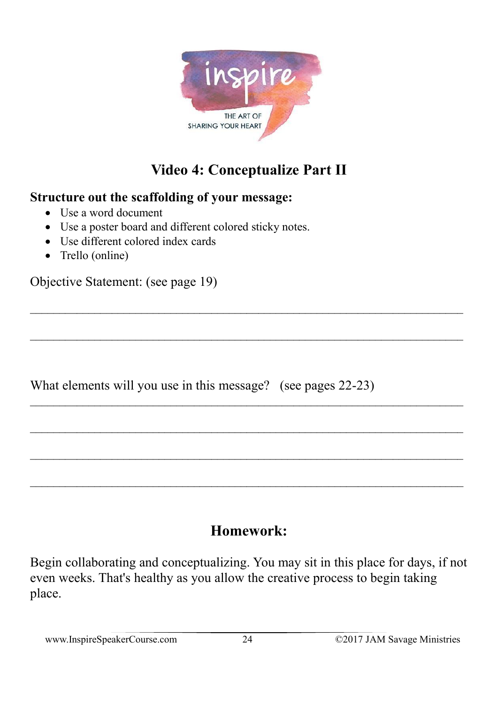

## **Video 4: Conceptualize Part II**

#### **Structure out the scaffolding of your message:**

- Use a word document
- Use a poster board and different colored sticky notes.
- Use different colored index cards
- Trello (online)

Objective Statement: (see page 19)

What elements will you use in this message? (see pages 22-23)

### **Homework:**

 $\_$  , and the set of the set of the set of the set of the set of the set of the set of the set of the set of the set of the set of the set of the set of the set of the set of the set of the set of the set of the set of th

 $\_$  , and the contribution of the contribution of the contribution of the contribution of  $\mathcal{L}_\mathcal{A}$ 

 $\_$  , and the contribution of the contribution of the contribution of the contribution of  $\mathcal{L}_\mathcal{A}$ 

 $\_$  , and the set of the set of the set of the set of the set of the set of the set of the set of the set of the set of the set of the set of the set of the set of the set of the set of the set of the set of the set of th

Begin collaborating and conceptualizing. You may sit in this place for days, if not even weeks. That's healthy as you allow the creative process to begin taking place.

www.InspireSpeakerCourse.com 24 ©2017 JAM Savage Ministries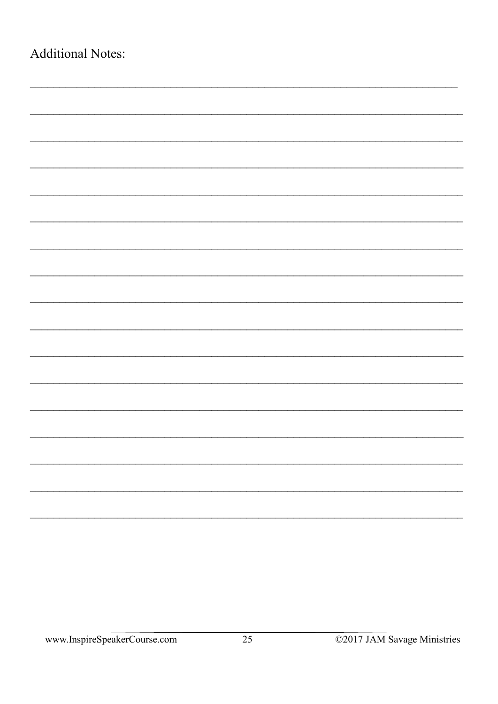| <b>Additional Notes:</b> |  |  |
|--------------------------|--|--|
|                          |  |  |
|                          |  |  |
|                          |  |  |
|                          |  |  |
|                          |  |  |
|                          |  |  |
|                          |  |  |
|                          |  |  |
|                          |  |  |
|                          |  |  |
|                          |  |  |
|                          |  |  |
|                          |  |  |
|                          |  |  |
|                          |  |  |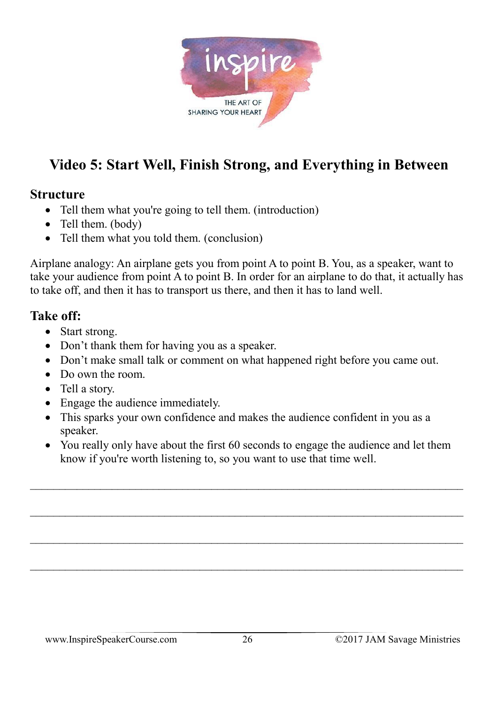

## **Video 5: Start Well, Finish Strong, and Everything in Between**

#### **Structure**

- Tell them what you're going to tell them. (introduction)
- Tell them. (body)
- Tell them what you told them. (conclusion)

Airplane analogy: An airplane gets you from point A to point B. You, as a speaker, want to take your audience from point A to point B. In order for an airplane to do that, it actually has to take off, and then it has to transport us there, and then it has to land well.

#### **Take off:**

- Start strong.
- Don't thank them for having you as a speaker.
- Don't make small talk or comment on what happened right before you came out.
- Do own the room.
- Tell a story.
- Engage the audience immediately.
- This sparks your own confidence and makes the audience confident in you as a speaker.
- You really only have about the first 60 seconds to engage the audience and let them know if you're worth listening to, so you want to use that time well.

 $\_$  , and the contribution of the contribution of the contribution of the contribution of  $\mathcal{L}_\mathcal{A}$ 

 $\_$  , and the contribution of the contribution of  $\mathcal{L}_\mathcal{A}$  , and the contribution of  $\mathcal{L}_\mathcal{A}$ 

 $\_$  , and the contribution of the contribution of the contribution of the contribution of  $\mathcal{L}_\mathcal{A}$ 

 $\_$  , and the contribution of the contribution of  $\mathcal{L}_\mathcal{A}$  , and the contribution of  $\mathcal{L}_\mathcal{A}$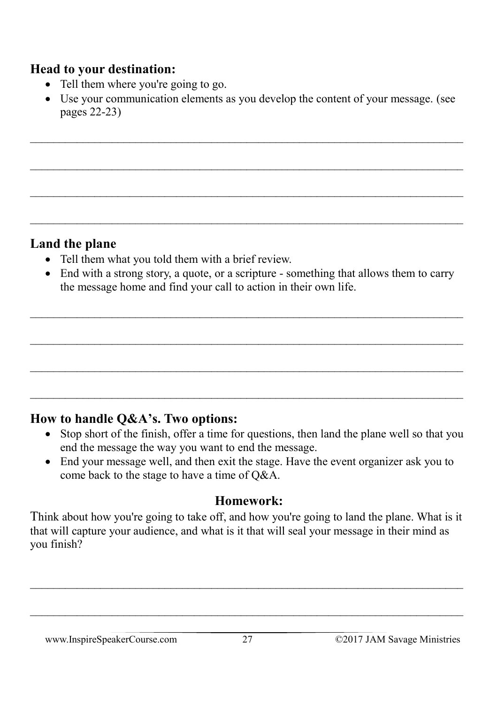#### **Head to your destination:**

- Tell them where you're going to go.
- Use your communication elements as you develop the content of your message. (see pages 22-23)

 $\_$  , and the contribution of the contribution of  $\mathcal{L}_\mathcal{A}$  , and the contribution of  $\mathcal{L}_\mathcal{A}$ 

 $\_$  , and the contribution of the contribution of the contribution of the contribution of  $\mathcal{L}_\mathcal{A}$ 

#### **Land the plane**

- Tell them what you told them with a brief review.
- End with a strong story, a quote, or a scripture something that allows them to carry the message home and find your call to action in their own life.

 $\_$  , and the contribution of the contribution of the contribution of the contribution of  $\mathcal{L}_\mathcal{A}$ 

 $\_$  , and the contribution of the contribution of the contribution of the contribution of  $\mathcal{L}_\mathcal{A}$ 

 $\mathcal{L}_\text{max} = \frac{1}{2} \sum_{i=1}^n \mathcal{L}_\text{max}(\mathbf{z}_i - \mathbf{z}_i)$ 

 $\_$  , and the contribution of the contribution of the contribution of the contribution of  $\mathcal{L}_\mathcal{A}$ 

#### **How to handle Q&A's. Two options:**

- Stop short of the finish, offer a time for questions, then land the plane well so that you end the message the way you want to end the message.
- End your message well, and then exit the stage. Have the event organizer ask you to come back to the stage to have a time of Q&A.

#### **Homework:**

Think about how you're going to take off, and how you're going to land the plane. What is it that will capture your audience, and what is it that will seal your message in their mind as you finish?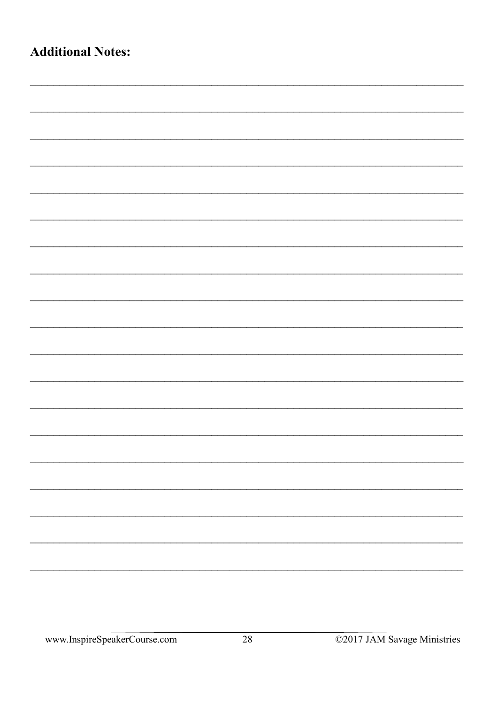| <b>Additional Notes:</b> |  |
|--------------------------|--|
|                          |  |
|                          |  |
|                          |  |
|                          |  |
|                          |  |
|                          |  |
|                          |  |
|                          |  |
|                          |  |
|                          |  |
|                          |  |
|                          |  |
|                          |  |
|                          |  |
|                          |  |
|                          |  |
|                          |  |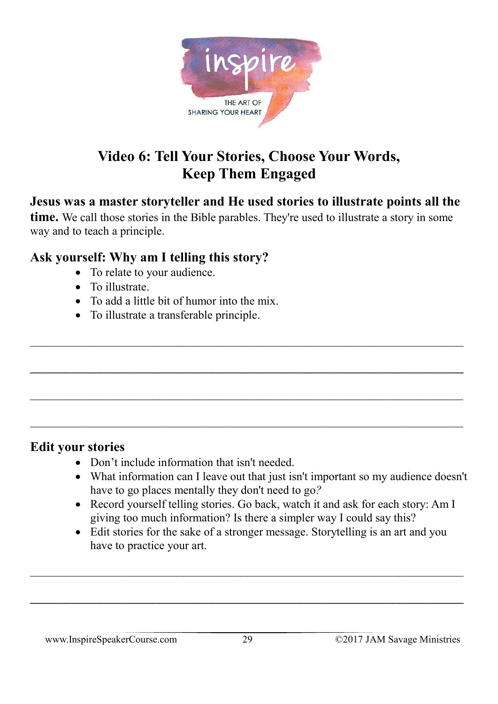

## **Video 6: Tell Your Stories, Choose Your Words, Keep Them Engaged**

#### **Jesus was a master storyteller and He used stories to illustrate points all the**

**time.** We call those stories in the Bible parables. They're used to illustrate a story in some way and to teach a principle.

 $\_$  , and the contribution of the contribution of the contribution of the contribution of  $\mathcal{L}_\mathcal{A}$ 

**\_\_\_\_\_\_\_\_\_\_\_\_\_\_\_\_\_\_\_\_\_\_\_\_\_\_\_\_\_\_\_\_\_\_\_\_\_\_\_\_\_\_\_\_\_\_\_\_\_\_\_\_\_\_\_\_\_\_\_\_\_\_\_\_\_\_\_\_\_\_\_\_\_\_**

#### **Ask yourself: Why am I telling this story?**

- To relate to your audience.
- To illustrate.
- To add a little bit of humor into the mix.
- To illustrate a transferable principle.

#### **Edit your stories**

- Don't include information that isn't needed.
- What information can I leave out that just isn't important so my audience doesn't have to go places mentally they don't need to go*?*
- Record yourself telling stories. Go back, watch it and ask for each story: Am I giving too much information? Is there a simpler way I could say this?
- Edit stories for the sake of a stronger message. Storytelling is an art and you have to practice your art.

 $\_$  , and the contribution of the contribution of  $\mathcal{L}_\mathcal{A}$  , and the contribution of  $\mathcal{L}_\mathcal{A}$ 

**\_\_\_\_\_\_\_\_\_\_\_\_\_\_\_\_\_\_\_\_\_\_\_\_\_\_\_\_\_\_\_\_\_\_\_\_\_\_\_\_\_\_\_\_\_\_\_\_\_\_\_\_\_\_\_\_\_\_\_\_\_\_\_\_\_\_\_\_\_\_\_\_\_\_**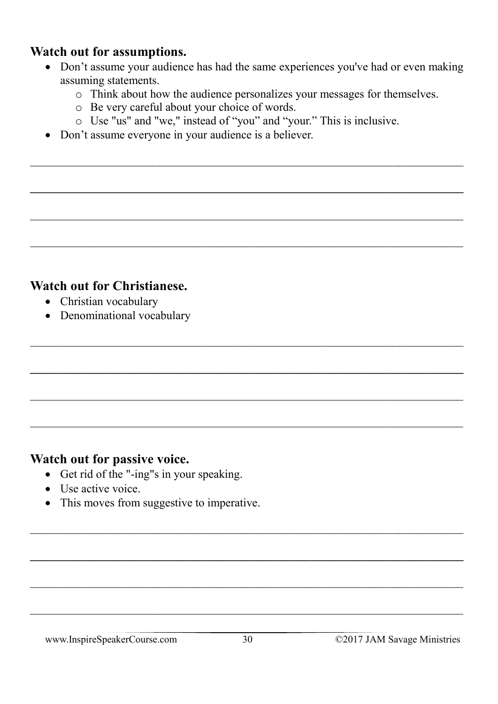#### **Watch out for assumptions.**

- Don't assume your audience has had the same experiences you've had or even making assuming statements.
	- o Think about how the audience personalizes your messages for themselves.
	- o Be very careful about your choice of words.
	- o Use "us" and "we," instead of "you" and "your." This is inclusive.

 $\_$  , and the set of the set of the set of the set of the set of the set of the set of the set of the set of the set of the set of the set of the set of the set of the set of the set of the set of the set of the set of th

**\_\_\_\_\_\_\_\_\_\_\_\_\_\_\_\_\_\_\_\_\_\_\_\_\_\_\_\_\_\_\_\_\_\_\_\_\_\_\_\_\_\_\_\_\_\_\_\_\_\_\_\_\_\_\_\_\_\_\_\_\_\_\_\_\_\_\_\_\_\_\_\_\_\_**

 $\_$  , and the contribution of the contribution of the contribution of the contribution of  $\mathcal{L}_\text{max}$ 

 $\_$  , and the contribution of the contribution of the contribution of the contribution of  $\mathcal{L}_\mathcal{A}$ 

 $\_$  , and the contribution of the contribution of  $\mathcal{L}_\mathcal{A}$  , and the contribution of  $\mathcal{L}_\mathcal{A}$ 

**\_\_\_\_\_\_\_\_\_\_\_\_\_\_\_\_\_\_\_\_\_\_\_\_\_\_\_\_\_\_\_\_\_\_\_\_\_\_\_\_\_\_\_\_\_\_\_\_\_\_\_\_\_\_\_\_\_\_\_\_\_\_\_\_\_\_\_\_\_\_\_\_\_\_**

 $\_$  , and the contribution of the contribution of the contribution of the contribution of  $\mathcal{L}_\mathcal{A}$ 

 $\mathcal{L}_\text{max} = \frac{1}{2} \sum_{i=1}^n \mathcal{L}_\text{max}(\mathbf{z}_i - \mathbf{z}_i)$ 

 $\_$  , and the set of the set of the set of the set of the set of the set of the set of the set of the set of the set of the set of the set of the set of the set of the set of the set of the set of the set of the set of th

**\_\_\_\_\_\_\_\_\_\_\_\_\_\_\_\_\_\_\_\_\_\_\_\_\_\_\_\_\_\_\_\_\_\_\_\_\_\_\_\_\_\_\_\_\_\_\_\_\_\_\_\_\_\_\_\_\_\_\_\_\_\_\_\_\_\_\_\_\_\_\_\_\_\_**

 $\_$  , and the contribution of the contribution of the contribution of the contribution of  $\mathcal{L}_\mathcal{A}$ 

 $\_$  , and the contribution of the contribution of the contribution of the contribution of  $\mathcal{L}_\mathcal{A}$ 

• Don't assume everyone in your audience is a believer.

#### **Watch out for Christianese.**

- Christian vocabulary
- Denominational vocabulary

#### **Watch out for passive voice.**

- Get rid of the "-ing"s in your speaking.
- Use active voice.
- This moves from suggestive to imperative.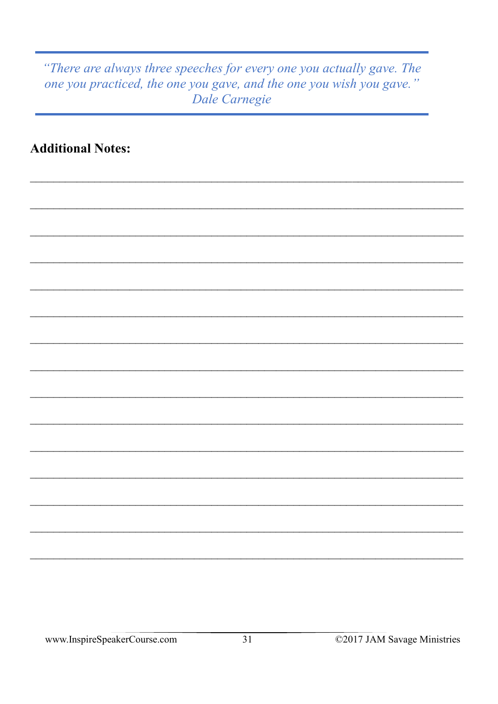#### "There are always three speeches for every one you actually gave. The one you practiced, the one you gave, and the one you wish you gave." Dale Carnegie

**Additional Notes:**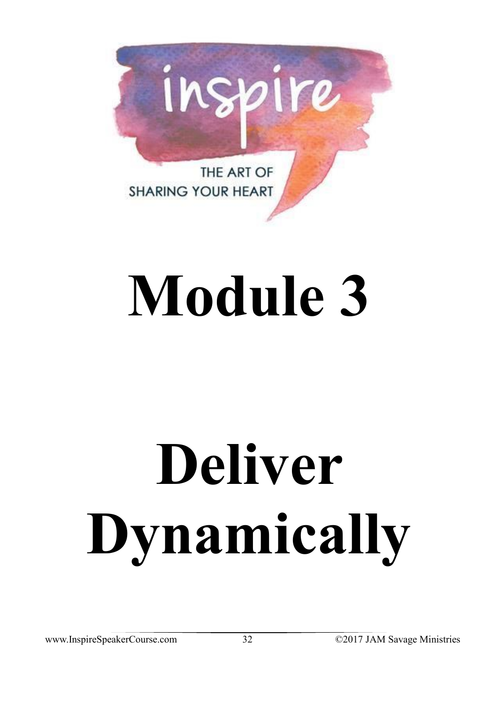

## **Module 3**

# **Deliver Dynamically**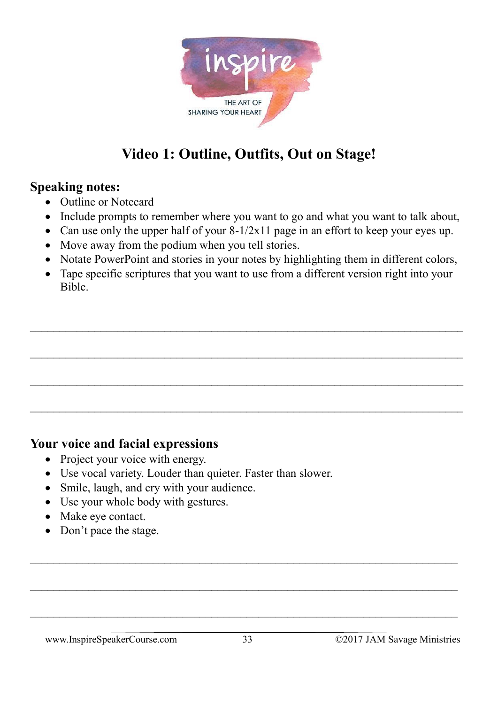

## **Video 1: Outline, Outfits, Out on Stage!**

#### **Speaking notes:**

- Outline or Notecard
- Include prompts to remember where you want to go and what you want to talk about,
- Can use only the upper half of your  $8-1/2x11$  page in an effort to keep your eyes up.
- Move away from the podium when you tell stories.
- Notate PowerPoint and stories in your notes by highlighting them in different colors,
- Tape specific scriptures that you want to use from a different version right into your Bible.

 $\_$  , and the contribution of the contribution of  $\mathcal{L}_\mathcal{A}$  , and the contribution of  $\mathcal{L}_\mathcal{A}$ 

 $\_$  , and the contribution of the contribution of  $\mathcal{L}_\mathcal{A}$  , and the contribution of  $\mathcal{L}_\mathcal{A}$ 

 $\_$  , and the set of the set of the set of the set of the set of the set of the set of the set of the set of the set of the set of the set of the set of the set of the set of the set of the set of the set of the set of th

 $\_$  , and the contribution of the contribution of  $\mathcal{L}_\mathcal{A}$  , and the contribution of  $\mathcal{L}_\mathcal{A}$ 

#### **Your voice and facial expressions**

- Project your voice with energy.
- Use vocal variety. Louder than quieter. Faster than slower.
- Smile, laugh, and cry with your audience.
- Use your whole body with gestures.
- Make eye contact.
- Don't pace the stage.

 $\_$  , and the contribution of the contribution of  $\mathcal{L}_\mathcal{A}$  , and the contribution of  $\mathcal{L}_\mathcal{A}$ 

 $\mathcal{L}_\text{max} = \mathcal{L}_\text{max} = \mathcal{L}_\text{max} = \mathcal{L}_\text{max} = \mathcal{L}_\text{max} = \mathcal{L}_\text{max} = \mathcal{L}_\text{max} = \mathcal{L}_\text{max} = \mathcal{L}_\text{max} = \mathcal{L}_\text{max} = \mathcal{L}_\text{max} = \mathcal{L}_\text{max} = \mathcal{L}_\text{max} = \mathcal{L}_\text{max} = \mathcal{L}_\text{max} = \mathcal{L}_\text{max} = \mathcal{L}_\text{max} = \mathcal{L}_\text{max} = \mathcal{$ 

 $\_$  , and the contribution of the contribution of  $\mathcal{L}_\mathcal{A}$  , and the contribution of  $\mathcal{L}_\mathcal{A}$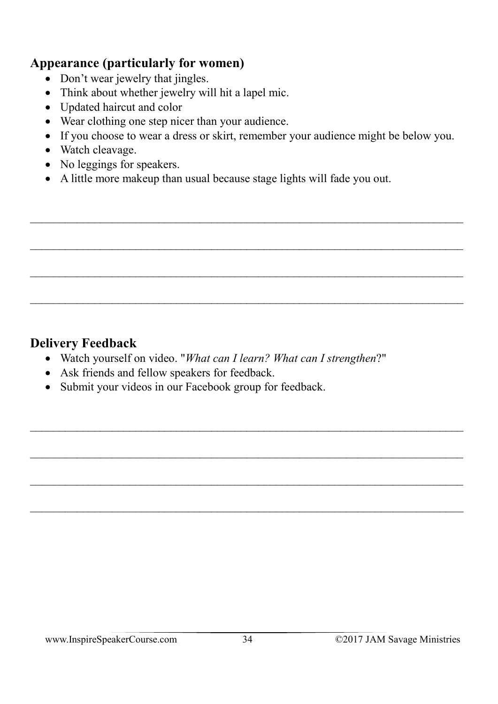#### **Appearance (particularly for women)**

- Don't wear jewelry that jingles.
- Think about whether jewelry will hit a lapel mic.
- Updated haircut and color
- Wear clothing one step nicer than your audience.
- If you choose to wear a dress or skirt, remember your audience might be below you.

 $\_$  , and the contribution of the contribution of the contribution of the contribution of  $\mathcal{L}_\mathcal{A}$ 

 $\mathcal{L}_\text{max} = \frac{1}{2} \sum_{i=1}^n \mathcal{L}_\text{max}(\mathbf{z}_i - \mathbf{z}_i)$ 

 $\_$  , and the contribution of the contribution of  $\mathcal{L}_\mathcal{A}$  , and the contribution of  $\mathcal{L}_\mathcal{A}$ 

 $\_$  , and the contribution of the contribution of the contribution of the contribution of  $\mathcal{L}_\mathcal{A}$ 

- Watch cleavage.
- No leggings for speakers.
- A little more makeup than usual because stage lights will fade you out.

#### **Delivery Feedback**

- Watch yourself on video. "*What can I learn? What can I strengthen*?"
- Ask friends and fellow speakers for feedback.
- Submit your videos in our Facebook group for feedback.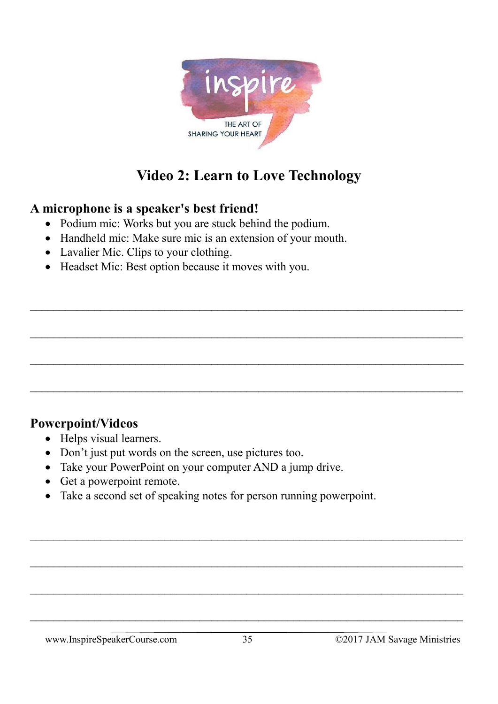

## **Video 2: Learn to Love Technology**

 $\_$  , and the contribution of the contribution of the contribution of the contribution of  $\mathcal{L}_\mathcal{A}$ 

 $\_$  , and the contribution of the contribution of the contribution of the contribution of  $\mathcal{L}_\mathcal{A}$ 

#### **A microphone is a speaker's best friend!**

- Podium mic: Works but you are stuck behind the podium.
- Handheld mic: Make sure mic is an extension of your mouth.
- Lavalier Mic. Clips to your clothing.
- Headset Mic: Best option because it moves with you.

#### **Powerpoint/Videos**

- Helps visual learners.
- Don't just put words on the screen, use pictures too.
- Take your PowerPoint on your computer AND a jump drive.
- Get a powerpoint remote.
- Take a second set of speaking notes for person running powerpoint.

 $\_$  , and the contribution of the contribution of  $\mathcal{L}_\mathcal{A}$  , and the contribution of  $\mathcal{L}_\mathcal{A}$ 

 $\_$  , and the contribution of the contribution of  $\mathcal{L}_\mathcal{A}$  , and the contribution of  $\mathcal{L}_\mathcal{A}$ 

 $\_$  , and the contribution of the contribution of the contribution of the contribution of  $\mathcal{L}_\mathcal{A}$ 

 $\_$  , and the contribution of the contribution of  $\mathcal{L}_\mathcal{A}$  , and the contribution of  $\mathcal{L}_\mathcal{A}$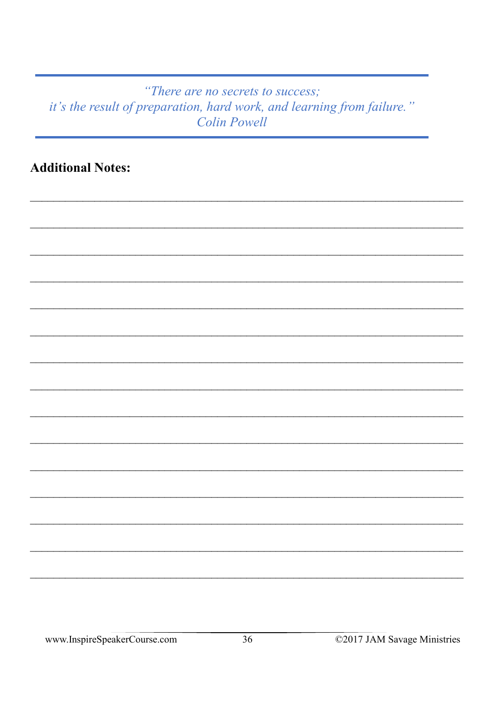#### "There are no secrets to success; it's the result of preparation, hard work, and learning from failure." **Colin Powell**

**Additional Notes:**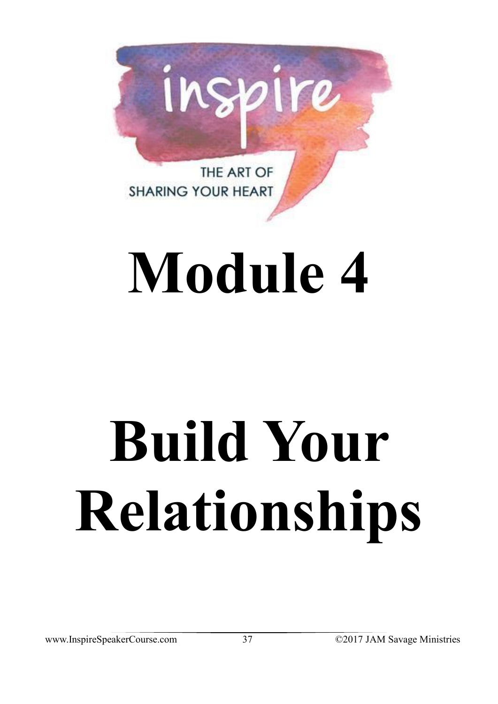

## **Module 4**

# **Build Your Relationships**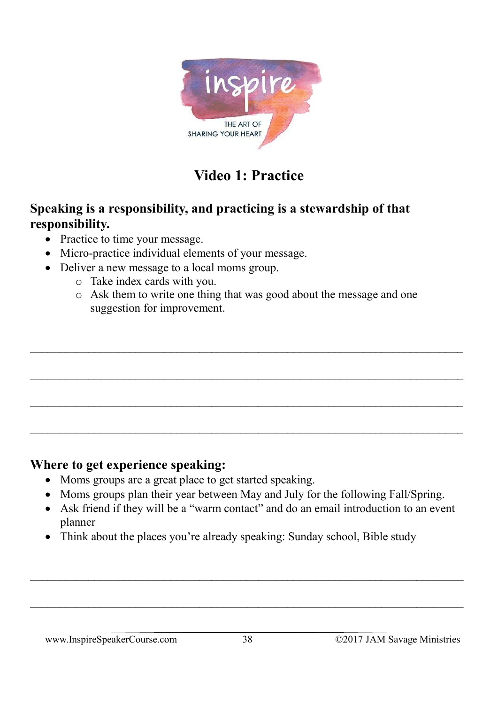

## **Video 1: Practice**

#### **Speaking is a responsibility, and practicing is a stewardship of that responsibility.**

- Practice to time your message.
- Micro-practice individual elements of your message.
- Deliver a new message to a local moms group.
	- o Take index cards with you.
	- o Ask them to write one thing that was good about the message and one suggestion for improvement.

#### **Where to get experience speaking:**

- Moms groups are a great place to get started speaking.
- Moms groups plan their year between May and July for the following Fall/Spring.
- Ask friend if they will be a "warm contact" and do an email introduction to an event planner
- Think about the places you're already speaking: Sunday school, Bible study

 $\_$  , and the contribution of the contribution of the contribution of the contribution of  $\mathcal{L}_\mathcal{A}$ 

 $\_$  , and the set of the set of the set of the set of the set of the set of the set of the set of the set of the set of the set of the set of the set of the set of the set of the set of the set of the set of the set of th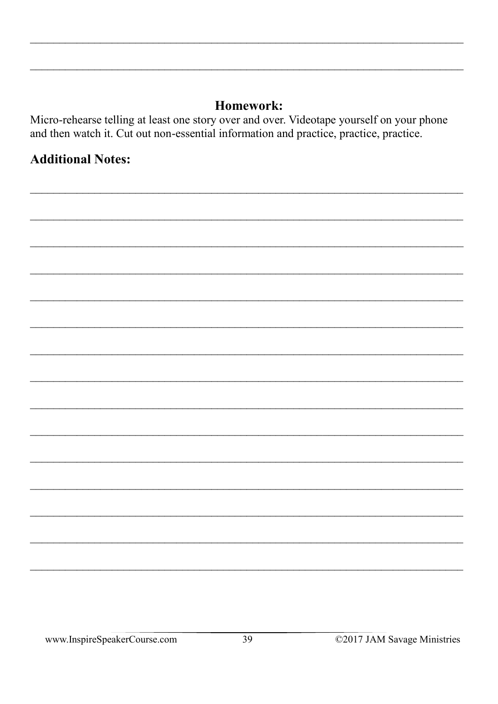#### Homework:

Micro-rehearse telling at least one story over and over. Videotape yourself on your phone and then watch it. Cut out non-essential information and practice, practice, practice.

#### **Additional Notes:**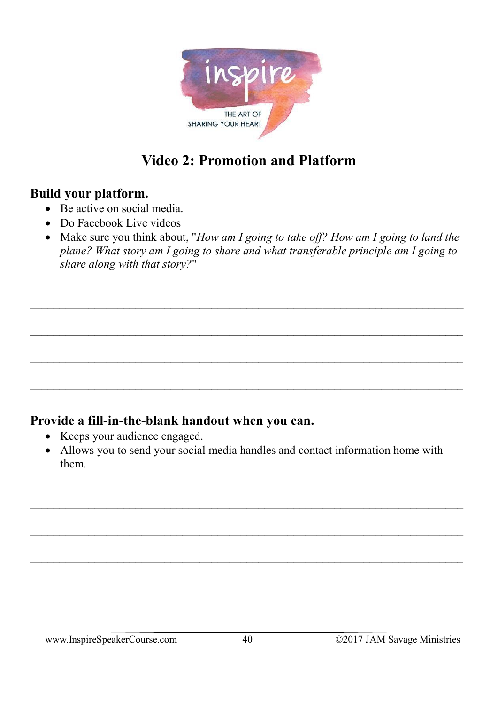

## **Video 2: Promotion and Platform**

#### **Build your platform.**

- Be active on social media.
- Do Facebook Live videos
- Make sure you think about, "*How am I going to take off? How am I going to land the plane? What story am I going to share and what transferable principle am I going to share along with that story?*"

#### **Provide a fill-in-the-blank handout when you can.**

- Keeps your audience engaged.
- Allows you to send your social media handles and contact information home with them.

 $\_$  , and the contribution of the contribution of the contribution of the contribution of  $\mathcal{L}_\text{max}$ 

 $\_$  , and the set of the set of the set of the set of the set of the set of the set of the set of the set of the set of the set of the set of the set of the set of the set of the set of the set of the set of the set of th

 $\mathcal{L}_\text{max} = \mathcal{L}_\text{max} = \mathcal{L}_\text{max} = \mathcal{L}_\text{max} = \mathcal{L}_\text{max} = \mathcal{L}_\text{max} = \mathcal{L}_\text{max} = \mathcal{L}_\text{max} = \mathcal{L}_\text{max} = \mathcal{L}_\text{max} = \mathcal{L}_\text{max} = \mathcal{L}_\text{max} = \mathcal{L}_\text{max} = \mathcal{L}_\text{max} = \mathcal{L}_\text{max} = \mathcal{L}_\text{max} = \mathcal{L}_\text{max} = \mathcal{L}_\text{max} = \mathcal{$ 

 $\_$  , and the contribution of the contribution of  $\mathcal{L}_\mathcal{A}$  , and the contribution of  $\mathcal{L}_\mathcal{A}$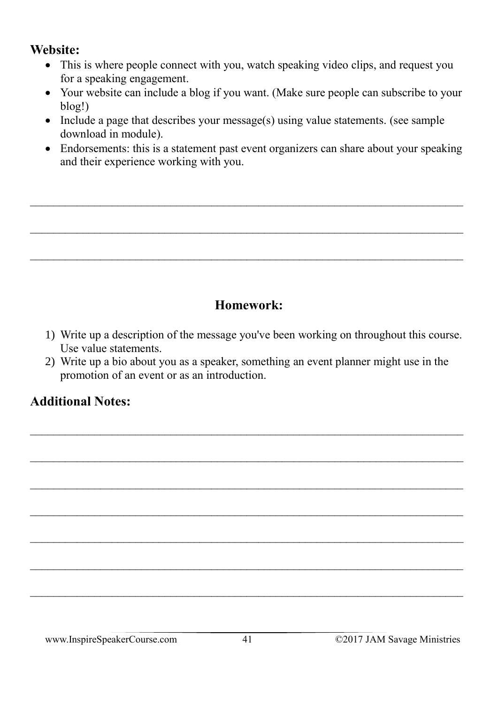#### **Website:**

- This is where people connect with you, watch speaking video clips, and request you for a speaking engagement.
- Your website can include a blog if you want. (Make sure people can subscribe to your blog!)
- Include a page that describes your message(s) using value statements. (see sample download in module).

 $\_$  , and the set of the set of the set of the set of the set of the set of the set of the set of the set of the set of the set of the set of the set of the set of the set of the set of the set of the set of the set of th

 $\_$  , and the set of the set of the set of the set of the set of the set of the set of the set of the set of the set of the set of the set of the set of the set of the set of the set of the set of the set of the set of th

• Endorsements: this is a statement past event organizers can share about your speaking and their experience working with you.

#### **Homework:**

- 1) Write up a description of the message you've been working on throughout this course. Use value statements.
- 2) Write up a bio about you as a speaker, something an event planner might use in the promotion of an event or as an introduction.

 $\_$  , and the set of the set of the set of the set of the set of the set of the set of the set of the set of the set of the set of the set of the set of the set of the set of the set of the set of the set of the set of th

 $\_$  , and the set of the set of the set of the set of the set of the set of the set of the set of the set of the set of the set of the set of the set of the set of the set of the set of the set of the set of the set of th

 $\_$  , and the set of the set of the set of the set of the set of the set of the set of the set of the set of the set of the set of the set of the set of the set of the set of the set of the set of the set of the set of th

 $\mathcal{L}_\text{max} = \mathcal{L}_\text{max} = \mathcal{L}_\text{max} = \mathcal{L}_\text{max} = \mathcal{L}_\text{max} = \mathcal{L}_\text{max} = \mathcal{L}_\text{max} = \mathcal{L}_\text{max} = \mathcal{L}_\text{max} = \mathcal{L}_\text{max} = \mathcal{L}_\text{max} = \mathcal{L}_\text{max} = \mathcal{L}_\text{max} = \mathcal{L}_\text{max} = \mathcal{L}_\text{max} = \mathcal{L}_\text{max} = \mathcal{L}_\text{max} = \mathcal{L}_\text{max} = \mathcal{$ 

 $\_$  , and the set of the set of the set of the set of the set of the set of the set of the set of the set of the set of the set of the set of the set of the set of the set of the set of the set of the set of the set of th

#### **Additional Notes:**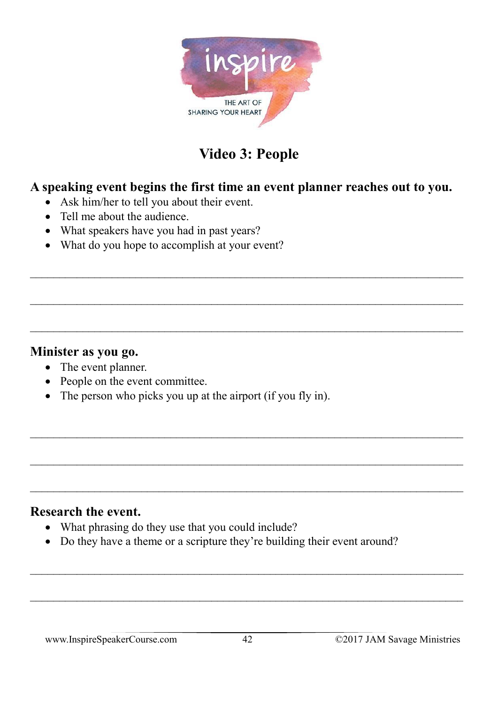

## **Video 3: People**

#### **A speaking event begins the first time an event planner reaches out to you.**

- Ask him/her to tell you about their event.
- Tell me about the audience.
- What speakers have you had in past years?
- What do you hope to accomplish at your event?

#### **Minister as you go.**

- The event planner.
- People on the event committee.
- The person who picks you up at the airport (if you fly in).

#### **Research the event.**

- What phrasing do they use that you could include?
- Do they have a theme or a scripture they're building their event around?

 $\_$  , and the set of the set of the set of the set of the set of the set of the set of the set of the set of the set of the set of the set of the set of the set of the set of the set of the set of the set of the set of th

 $\mathcal{L}_\text{max} = \mathcal{L}_\text{max} = \mathcal{L}_\text{max} = \mathcal{L}_\text{max} = \mathcal{L}_\text{max} = \mathcal{L}_\text{max} = \mathcal{L}_\text{max} = \mathcal{L}_\text{max} = \mathcal{L}_\text{max} = \mathcal{L}_\text{max} = \mathcal{L}_\text{max} = \mathcal{L}_\text{max} = \mathcal{L}_\text{max} = \mathcal{L}_\text{max} = \mathcal{L}_\text{max} = \mathcal{L}_\text{max} = \mathcal{L}_\text{max} = \mathcal{L}_\text{max} = \mathcal{$ 

 $\_$  , and the contribution of the contribution of  $\mathcal{L}_\mathcal{A}$  , and the contribution of  $\mathcal{L}_\mathcal{A}$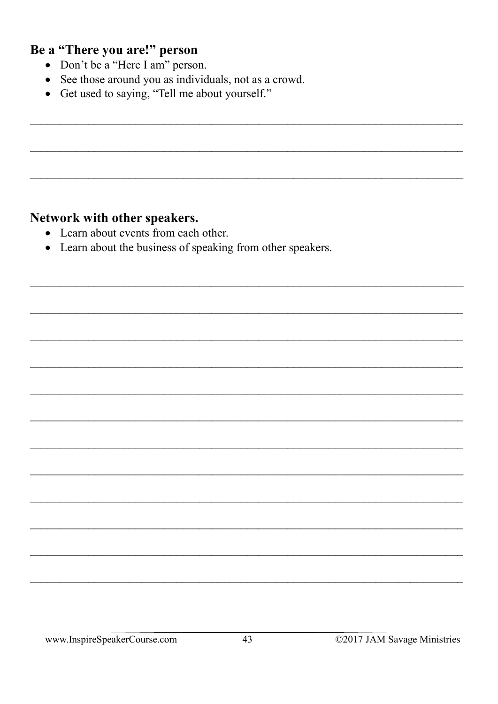#### Be a "There you are!" person

- Don't be a "Here I am" person.
- See those around you as individuals, not as a crowd.
- Get used to saying, "Tell me about yourself."

#### Network with other speakers.

- Learn about events from each other.
- Learn about the business of speaking from other speakers.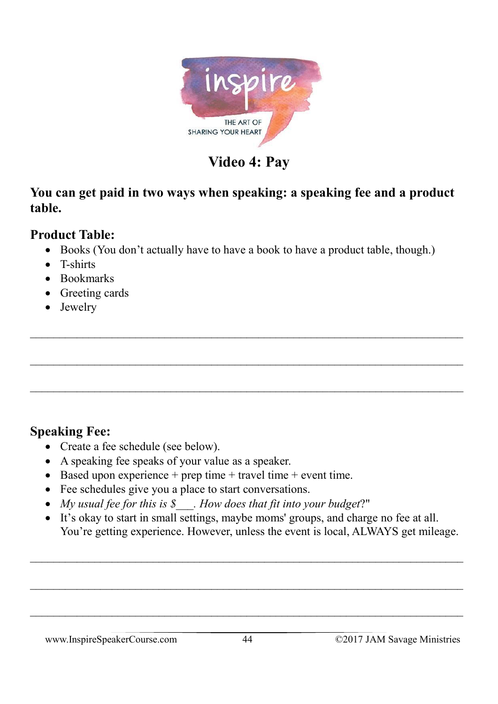

## **Video 4: Pay**

#### **You can get paid in two ways when speaking: a speaking fee and a product table.**

#### **Product Table:**

• Books (You don't actually have to have a book to have a product table, though.)

 $\_$  , and the set of the set of the set of the set of the set of the set of the set of the set of the set of the set of the set of the set of the set of the set of the set of the set of the set of the set of the set of th

 $\_$  , and the set of the set of the set of the set of the set of the set of the set of the set of the set of the set of the set of the set of the set of the set of the set of the set of the set of the set of the set of th

- T-shirts
- Bookmarks
- Greeting cards
- Jewelry

#### **Speaking Fee:**

- Create a fee schedule (see below).
- A speaking fee speaks of your value as a speaker.
- Based upon experience  $+$  prep time  $+$  travel time  $+$  event time.
- Fee schedules give you a place to start conversations.
- *My usual fee for this is \$\_\_\_. How does that fit into your budget*?"
- It's okay to start in small settings, maybe moms' groups, and charge no fee at all. You're getting experience. However, unless the event is local, ALWAYS get mileage.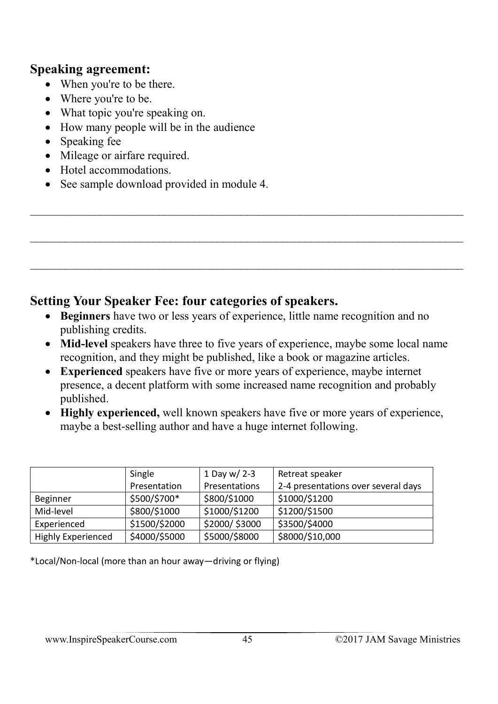#### **Speaking agreement:**

- When you're to be there.
- Where you're to be.
- What topic you're speaking on.
- How many people will be in the audience
- Speaking fee
- Mileage or airfare required.
- Hotel accommodations.
- See sample download provided in module 4.

#### **Setting Your Speaker Fee: four categories of speakers.**

- **Beginners** have two or less years of experience, little name recognition and no publishing credits.
- **Mid-level** speakers have three to five years of experience, maybe some local name recognition, and they might be published, like a book or magazine articles.

 $\_$  , and the contribution of the contribution of  $\mathcal{L}_\mathcal{A}$  , and the contribution of  $\mathcal{L}_\mathcal{A}$ 

 $\_$  , and the set of the set of the set of the set of the set of the set of the set of the set of the set of the set of the set of the set of the set of the set of the set of the set of the set of the set of the set of th

 $\_$  , and the set of the set of the set of the set of the set of the set of the set of the set of the set of the set of the set of the set of the set of the set of the set of the set of the set of the set of the set of th

- **Experienced** speakers have five or more years of experience, maybe internet presence, a decent platform with some increased name recognition and probably published.
- **Highly experienced,** well known speakers have five or more years of experience, maybe a best-selling author and have a huge internet following.

|                    | Single        | 1 Day w/ 2-3  | Retreat speaker                     |
|--------------------|---------------|---------------|-------------------------------------|
|                    | Presentation  | Presentations | 2-4 presentations over several days |
| <b>Beginner</b>    | \$500/\$700*  | \$800/\$1000  | \$1000/\$1200                       |
| Mid-level          | \$800/\$1000  | \$1000/\$1200 | \$1200/\$1500                       |
| Experienced        | \$1500/\$2000 | \$2000/\$3000 | \$3500/\$4000                       |
| Highly Experienced | \$4000/\$5000 | \$5000/\$8000 | \$8000/\$10,000                     |

\*Local/Non-local (more than an hour away—driving or flying)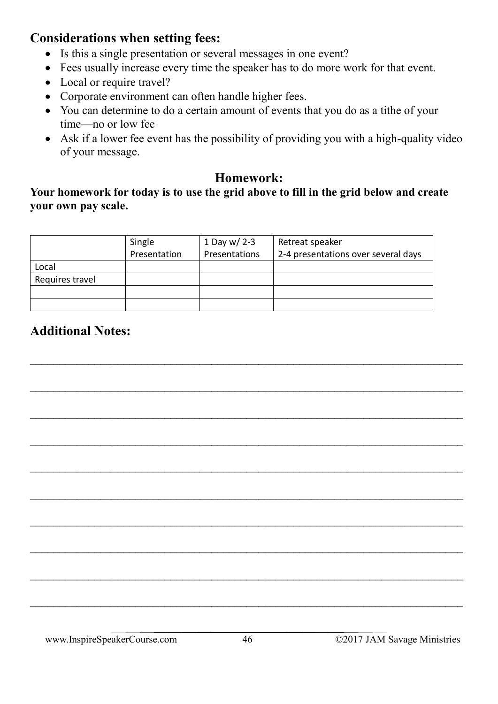#### **Considerations when setting fees:**

- Is this a single presentation or several messages in one event?
- Fees usually increase every time the speaker has to do more work for that event.
- Local or require travel?
- Corporate environment can often handle higher fees.
- You can determine to do a certain amount of events that you do as a tithe of your time—no or low fee
- Ask if a lower fee event has the possibility of providing you with a high-quality video of your message.

#### **Homework:**

#### **Your homework for today is to use the grid above to fill in the grid below and create your own pay scale.**

|                 | Single       | 1 Day w/ 2-3  | Retreat speaker                     |
|-----------------|--------------|---------------|-------------------------------------|
|                 | Presentation | Presentations | 2-4 presentations over several days |
| Local           |              |               |                                     |
| Requires travel |              |               |                                     |
|                 |              |               |                                     |
|                 |              |               |                                     |

 $\_$  , and the contribution of the contribution of  $\mathcal{L}_\mathcal{A}$  , and the contribution of  $\mathcal{L}_\mathcal{A}$ 

 $\mathcal{L}_\text{max} = \mathcal{L}_\text{max} = \mathcal{L}_\text{max} = \mathcal{L}_\text{max} = \mathcal{L}_\text{max} = \mathcal{L}_\text{max} = \mathcal{L}_\text{max} = \mathcal{L}_\text{max} = \mathcal{L}_\text{max} = \mathcal{L}_\text{max} = \mathcal{L}_\text{max} = \mathcal{L}_\text{max} = \mathcal{L}_\text{max} = \mathcal{L}_\text{max} = \mathcal{L}_\text{max} = \mathcal{L}_\text{max} = \mathcal{L}_\text{max} = \mathcal{L}_\text{max} = \mathcal{$ 

 $\_$  , and the contribution of the contribution of  $\mathcal{L}_\mathcal{A}$  , and the contribution of  $\mathcal{L}_\mathcal{A}$ 

 $\_$  , and the contribution of the contribution of  $\mathcal{L}_\mathcal{A}$  , and the contribution of  $\mathcal{L}_\mathcal{A}$ 

 $\_$  , and the contribution of the contribution of  $\mathcal{L}_\mathcal{A}$  , and the contribution of  $\mathcal{L}_\mathcal{A}$ 

 $\_$  , and the contribution of the contribution of the contribution of the contribution of  $\mathcal{L}_\mathcal{A}$ 

 $\_$  , and the set of the set of the set of the set of the set of the set of the set of the set of the set of the set of the set of the set of the set of the set of the set of the set of the set of the set of the set of th

 $\_$  , and the set of the set of the set of the set of the set of the set of the set of the set of the set of the set of the set of the set of the set of the set of the set of the set of the set of the set of the set of th

 $\_$  , and the contribution of the contribution of the contribution of the contribution of  $\mathcal{L}_\mathcal{A}$ 

 $\_$  , and the set of the set of the set of the set of the set of the set of the set of the set of the set of the set of the set of the set of the set of the set of the set of the set of the set of the set of the set of th

#### **Additional Notes:**